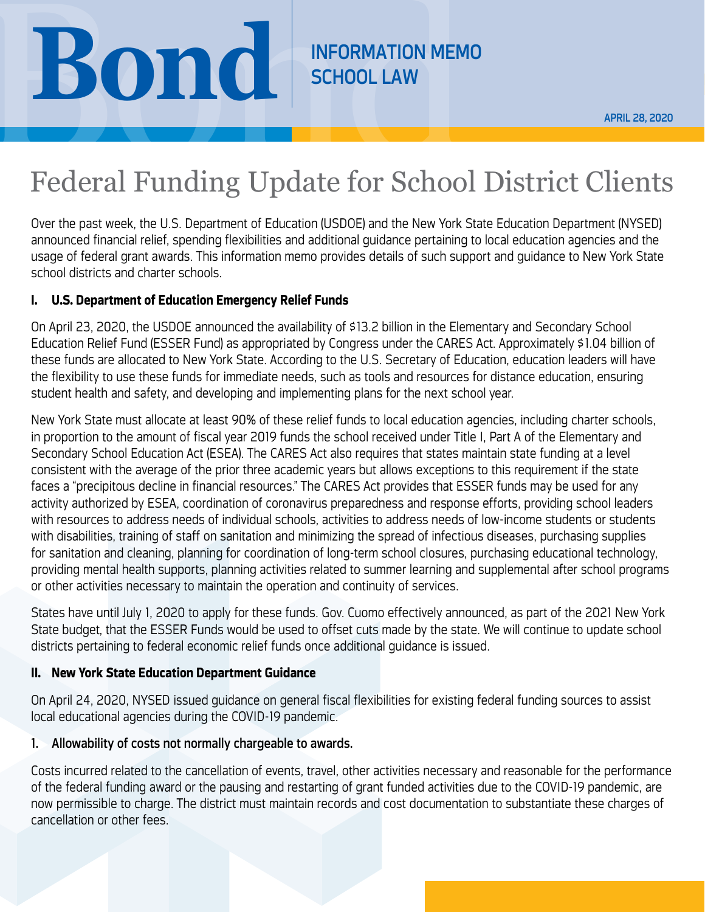# **Bondon April 28, 2020**<br>Federal Funding Update for School District Clients

# Federal Funding Update for School District Clients

Over the past week, the U.S. Department of Education (USDOE) and the New York State Education Department (NYSED) announced financial relief, spending flexibilities and additional guidance pertaining to local education agencies and the usage of federal grant awards. This information memo provides details of such support and guidance to New York State school districts and charter schools.

## **I. U.S. Department of Education Emergency Relief Funds**

On April 23, 2020, the USDOE announced the availability of \$13.2 billion in the Elementary and Secondary School Education Relief Fund (ESSER Fund) as appropriated by Congress under the CARES Act. Approximately \$1.04 billion of these funds are allocated to New York State. According to the U.S. Secretary of Education, education leaders will have the flexibility to use these funds for immediate needs, such as tools and resources for distance education, ensuring student health and safety, and developing and implementing plans for the next school year.

New York State must allocate at least 90% of these relief funds to local education agencies, including charter schools, in proportion to the amount of fiscal year 2019 funds the school received under Title I, Part A of the Elementary and Secondary School Education Act (ESEA). The CARES Act also requires that states maintain state funding at a level consistent with the average of the prior three academic years but allows exceptions to this requirement if the state faces a "precipitous decline in financial resources." The CARES Act provides that ESSER funds may be used for any activity authorized by ESEA, coordination of coronavirus preparedness and response efforts, providing school leaders with resources to address needs of individual schools, activities to address needs of low-income students or students with disabilities, training of staff on sanitation and minimizing the spread of infectious diseases, purchasing supplies for sanitation and cleaning, planning for coordination of long-term school closures, purchasing educational technology, providing mental health supports, planning activities related to summer learning and supplemental after school programs or other activities necessary to maintain the operation and continuity of services.

States have until July 1, 2020 to apply for these funds. Gov. Cuomo effectively announced, as part of the 2021 New York State budget, that the ESSER Funds would be used to offset cuts made by the state. We will continue to update school districts pertaining to federal economic relief funds once additional guidance is issued.

### **II. New York State Education Department Guidance**

On April 24, 2020, NYSED issued guidance on general fiscal flexibilities for existing federal funding sources to assist local educational agencies during the COVID-19 pandemic.

### 1. Allowability of costs not normally chargeable to awards.

Costs incurred related to the cancellation of events, travel, other activities necessary and reasonable for the performance of the federal funding award or the pausing and restarting of grant funded activities due to the COVID-19 pandemic, are now permissible to charge. The district must maintain records and cost documentation to substantiate these charges of cancellation or other fees.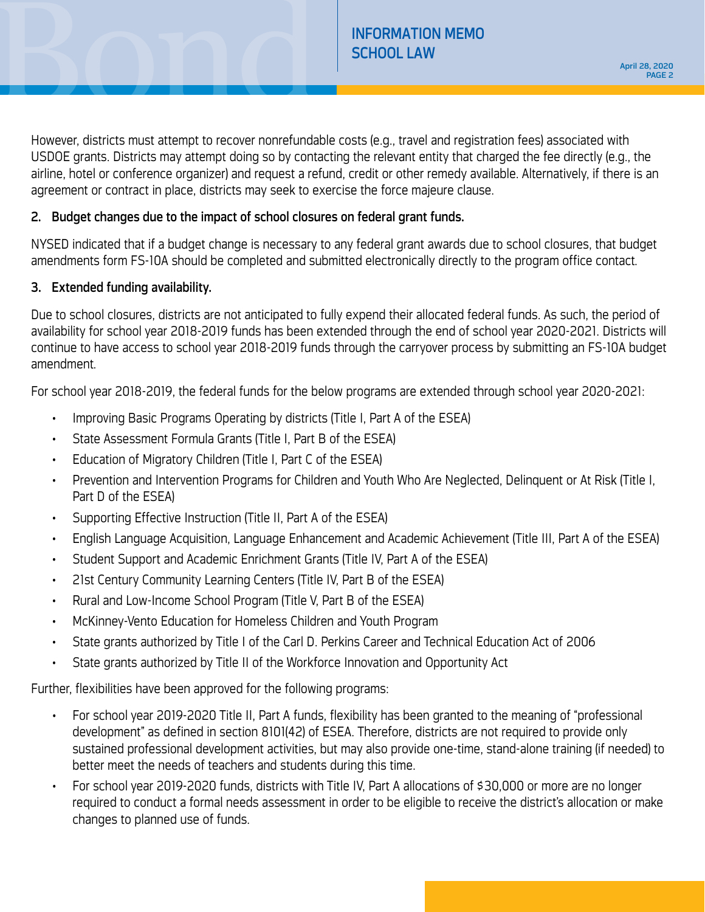

However, districts must attempt to recover nonrefundable costs (e.g., travel and registration fees) associated with USDOE grants. Districts may attempt doing so by contacting the relevant entity that charged the fee directly (e.g., the airline, hotel or conference organizer) and request a refund, credit or other remedy available. Alternatively, if there is an agreement or contract in place, districts may seek to exercise the force majeure clause.

# 2. Budget changes due to the impact of school closures on federal grant funds.

NYSED indicated that if a budget change is necessary to any federal grant awards due to school closures, that budget amendments form FS-10A should be completed and submitted electronically directly to the program office contact.

# 3. Extended funding availability.

Due to school closures, districts are not anticipated to fully expend their allocated federal funds. As such, the period of availability for school year 2018-2019 funds has been extended through the end of school year 2020-2021. Districts will continue to have access to school year 2018-2019 funds through the carryover process by submitting an FS-10A budget amendment.

For school year 2018-2019, the federal funds for the below programs are extended through school year 2020-2021:

- Improving Basic Programs Operating by districts (Title I, Part A of the ESEA)
- State Assessment Formula Grants (Title I, Part B of the ESEA)
- Education of Migratory Children (Title I, Part C of the ESEA)
- Prevention and Intervention Programs for Children and Youth Who Are Neglected, Delinquent or At Risk (Title I, Part D of the ESEA)
- Supporting Effective Instruction (Title II, Part A of the ESEA)
- English Language Acquisition, Language Enhancement and Academic Achievement (Title III, Part A of the ESEA)
- Student Support and Academic Enrichment Grants (Title IV, Part A of the ESEA)
- 21st Century Community Learning Centers (Title IV, Part B of the ESEA)
- Rural and Low-Income School Program (Title V, Part B of the ESEA)
- McKinney-Vento Education for Homeless Children and Youth Program
- State grants authorized by Title I of the Carl D. Perkins Career and Technical Education Act of 2006
- State grants authorized by Title II of the Workforce Innovation and Opportunity Act

Further, flexibilities have been approved for the following programs:

- For school year 2019-2020 Title II, Part A funds, flexibility has been granted to the meaning of "professional development" as defined in section 8101(42) of ESEA. Therefore, districts are not required to provide only sustained professional development activities, but may also provide one-time, stand-alone training (if needed) to better meet the needs of teachers and students during this time.
- For school year 2019-2020 funds, districts with Title IV, Part A allocations of \$30,000 or more are no longer required to conduct a formal needs assessment in order to be eligible to receive the district's allocation or make changes to planned use of funds.